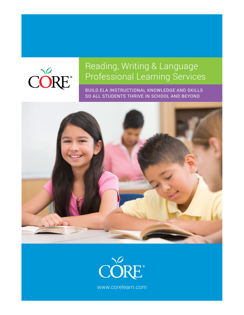

# Reading, Writing & Language Professional Learning Services

BUILD ELA INSTRUCTIONAL KNOWLEDGE AND SKILLS SO ALL STUDENTS THRIVE IN SCHOOL AND BEYOND



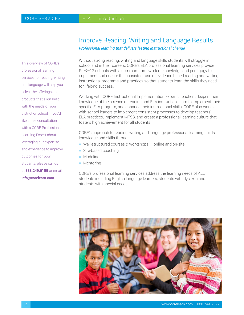This overview of CORE's professional learning services for reading, writing and language will help you select the offerings and products that align best with the needs of your district or school. If you'd like a free consultation with a CORE Professional Learning Expert about leveraging our expertise and experience to improve outcomes for your students, please call us at **888.249.6155** or email **info@corelearn.com.**

### Improve Reading, Writing and Language Results

*Professional learning that delivers lasting instructional change*

Without strong reading, writing and language skills students will struggle in school and in their careers. CORE's ELA professional learning services provide PreK–12 schools with a common framework of knowledge and pedagogy to implement and ensure the consistent use of evidence-based reading and writing instructional programs and practices so that students learn the skills they need for lifelong success.

Working with CORE Instructional Implementation Experts, teachers deepen their knowledge of the science of reading and ELA instruction, learn to implement their specific ELA program, and enhance their instructional skills. CORE also works with school leaders to implement consistent processes to develop teachers' ELA practices, implement MTSS, and create a professional learning culture that fosters high achievement for all students.

CORE's approach to reading, writing and language professional learning builds knowledge and skills through:

- $\blacksquare$  Well-structured courses & workshops  $-$  online and on-site
- $\blacksquare$  Site-based coaching
- **Modeling**
- $\blacksquare$  Mentoring

CORE's professional learning services address the learning needs of ALL students including English language learners, students with dyslexia and students with special needs.

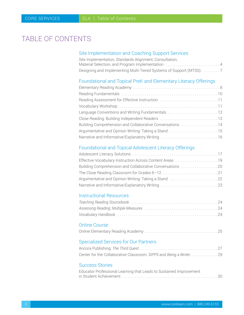# <span id="page-2-0"></span>TABLE OF CONTENTS

### Site Implementation and Coaching Support Services

| Site Implementation, Standards Alignment, Consultation, |
|---------------------------------------------------------|
| Material Selection, and Program Implementation  4       |
|                                                         |

### Foundational and Topical PreK and Elementary Literacy Offerings

| Reading Assessment for Effective Instruction 11          |
|----------------------------------------------------------|
|                                                          |
| Language Conventions and Writing Fundamentals 12         |
|                                                          |
| Building Comprehension and Collaborative Conversations14 |
| Argumentative and Opinion Writing: Taking a Stand15      |
| Narrative and Informative/Explanatory Writing 16         |

### Foundational and Topical Adolescent Literacy Offerings

| Effective Vocabulary Instruction Across Content Areas 19<br>Building Comprehension and Collaborative Conversations 20<br>Argumentative and Opinion Writing: Taking a Stand 22 |  |
|-------------------------------------------------------------------------------------------------------------------------------------------------------------------------------|--|
|                                                                                                                                                                               |  |
|                                                                                                                                                                               |  |
|                                                                                                                                                                               |  |
|                                                                                                                                                                               |  |
|                                                                                                                                                                               |  |

### Instructional Resources

### Online Course

## Specialized Services for Our Partners

| Center for the Collaborative Classroom: SIPPS and Being a Writer  29 |  |
|----------------------------------------------------------------------|--|

#### Success Stories

| Educator Professional Learning that Leads to Sustained Improvement |
|--------------------------------------------------------------------|
|                                                                    |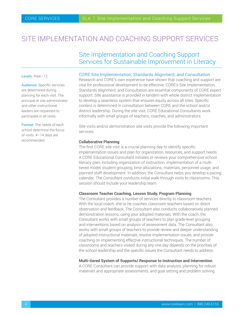## <span id="page-3-0"></span>SITE IMPI EMENTATION AND COACHING SUPPORT SERVICES

### Site Implementation and Coaching Support Services for Sustainable Improvement in Literacy

#### Levels: PreK-12

Audience: Specific services are determined during planning for each visit. The principal or site administrator and other instructional leaders are requested to participate in all visits.

Format: The needs of each school determine the focus of visits. 4–14 days are recommended.

#### CORE Site Implementation, Standards Alignment, and Consultation

Research and CORE's own experience have shown that coaching and support are vital for professional development to be effective. CORE's Site Implementation, Standards Alignment, and Consultation are essential components of CORE expert support. Site assistance is provided in tandem with whole district implementation to develop a seamless system that ensures equity across all sites. Specific content is determined in consultation between CORE and the school and/or district leadership. During the site visit, CORE Educational Consultants work informally with small groups of teachers, coaches, and administrators.

Site visits and/or demonstration site visits provide the following important services:

#### **Collaborative Planning**

The first CORE site visit is a crucial planning day to identify specific implementation issues and plan for organization, resources, and support needs. A CORE Educational Consultant initiates or reviews your comprehensive school literacy plan, including organization of instruction, implementation of a multitiered model, student grouping, time allocations, materials, personnel usage, and planned staff development. In addition, the Consultant helps you develop a pacing calendar. The Consultant conducts initial walk-through visits to classrooms. This session should include your leadership team.

#### **Classroom Teacher Coaching, Lesson Study, Program Planning**

The Consultant provides a number of services directly to classroom teachers. With the local coach, she or he coaches classroom teachers based on direct observation and feedback. The Consultant also conducts collaboratively planned demonstration lessons, using your adopted materials. With the coach, the Consultant works with small groups of teachers to plan grade-level grouping and interventions based on analysis of assessment data. The Consultant also works with small groups of teachers to provide review and deeper understanding of adopted instructional materials, resolve implementation issues, and provide coaching on implementing effective instructional techniques. The number of classrooms and teachers visited during any one day depends on the priorities of the school leadership and the specific issues the Consultant needs to address.

#### **Multi-tiered System of Supports/ Response to Instruction and Intervention**

A CORE Consultant can provide support with data analysis, planning for robust materials and appropriate assessments, and goal setting and problem solving.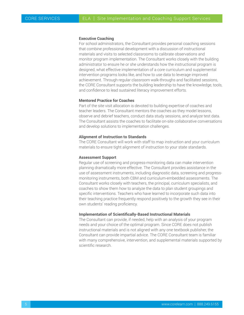#### **Executive Coaching**

For school administrators, the Consultant provides personal coaching sessions that combine professional development with a discussion of instructional materials and visits to selected classrooms to calibrate observations and monitor program implementation. The Consultant works closely with the building administrator to ensure he or she understands how the instructional program is designed, what effective implementation of a core curriculum and supplemental intervention programs looks like, and how to use data to leverage improved achievement. Through regular classroom walk-throughs and facilitated sessions, the CORE Consultant supports the building leadership to have the knowledge, tools, and confidence to lead sustained literacy improvement efforts.

#### **Mentored Practice for Coaches**

Part of the site visit allocation is devoted to building expertise of coaches and teacher leaders. The Consultant mentors the coaches as they model lessons, observe and debrief teachers, conduct data study sessions, and analyze test data. The Consultant assists the coaches to facilitate on-site collaborative conversations and develop solutions to implementation challenges.

#### **Alignment of Instruction to Standards**

The CORE Consultant will work with staff to map instruction and your curriculum materials to ensure tight alignment of instruction to your state standards.

#### **Assessment Support**

Regular use of screening and progress-monitoring data can make intervention planning dramatically more effective. The Consultant provides assistance in the use of assessment instruments, including diagnostic data, screening and progressmonitoring instruments, both CBM and curriculum-embedded assessments. The Consultant works closely with teachers, the principal, curriculum specialists, and coaches to show them how to analyze the data to plan student groupings and specific interventions. Teachers who have learned to incorporate such data into their teaching practice frequently respond positively to the growth they see in their own students' reading proficiency.

#### **Implementation of Scientifically-Based Instructional Materials**

The Consultant can provide, if needed, help with an analysis of your program needs and your choice of the optimal program. Since CORE does not publish instructional materials and is not aligned with any one textbook publisher, the Consultant can provide impartial advice. The CORE Consultant team is familiar with many comprehensive, intervention, and supplemental materials supported by scientific research.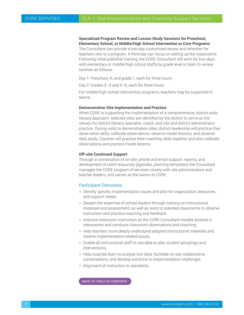**Specialized Program Review and Lesson Study Sessions for Preschool, Elementary School, or Middle/High School Intervention or Core Programs**

The Consultant can provide a two-day customized review and refresher for teachers new to a program. A third day can focus on setting up the classrooms. Following initial publisher training, the CORE Consultant will work for two days with elementary or middle/high school staffs by grade level or team to review routines as follows:

Day 1: Preschool, K, and grade 1, each for three hours

Day 2: Grades 2–3 and 4–6, each for three hours

For middle/high school intervention programs, teachers may be supported in teams.

#### **Demonstration Site Implementation and Practice**

When CORE is supporting the implementation of a comprehensive, district-wide literacy approach, selected sites are identified by the district to serve as the venues for district literacy specialist, coach, and site and district administrator practice. During visits to demonstration sites, district leadership will practice their observation skills, calibrate observations, observe model lessons, and observe data study. Coaches will practice their coaching skills together and also calibrate observations and practice model lessons.

#### **Off-site Continued Support**

Through a combination of on-site, phone and email support, reports, and development of client resources (agendas, planning templates) the Consultant manages the CORE program of services closely with site administrators and teacher leaders, and serves as the liaison to CORE.

#### Participant Outcomes

- $\blacksquare$  Identify specific implementation issues and plan for organization, resources, and support needs.
- Deepen the expertise of school leaders through training on instructional materials and assessment, as well as visits to selected classrooms to observe instruction and practice coaching and feedback.
- **Improve classroom instruction as the CORE Consultant models lessons in** classrooms and conducts classroom observations and coaching
- $\blacksquare$  Help teachers more deeply understand adopted instructional materials and resolve implementation-related issues.
- $\blacksquare$  Enable all instructional staff to use data to plan student groupings and interventions.
- $\blacksquare$  Help coaches learn to analyze test data, facilitate on-site collaborative conversations, and develop solutions to implementation challenges.
- $\blacksquare$  Alignment of instruction to standards.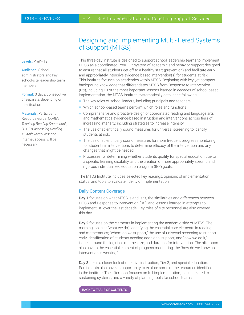### Designing and Implementing Multi-Tiered Systems of Support (MTSS)

<span id="page-6-0"></span>Levels: PreK–12

Audience: School administrators and key school-site leadership team members

Format: 3 days, consecutive or separate, depending on the situation

Materials: Participant Resource Guide; CORE's *Teaching Reading Sourcebook;* CORE's *Assessing Reading Multiple Measures;* and Internet access will be necessary

This three-day institute is designed to support school leadership teams to implement MTSS as a coordinated PreK–12 system of academic and behavior support designed to ensure that all students get off to a healthy start (prevention) and facilitate early and appropriately intensive evidence-based intervention(s) for students at risk. This institute focuses on academics within MTSS. Beginning with key yet compact background knowledge that differentiates MTSS from Response to Intervention (RtI), including 10 of the most important lessons learned in decades of school-based implementation, the MTSS Institute systematically details the following:

- $\blacksquare$  The key roles of school leaders, including principals and teachers.
- $\blacksquare$  Which school-based teams perform which roles and functions
- **EX Comprehensive and proactive design of coordinated reading and language arts** and mathematics evidence-based instruction and interventions across tiers of increasing intensity, including strategies to increase intensity.
- $\blacksquare$  The use of scientifically sound measures for universal screening to identify students at risk.
- $\blacksquare$  The use of scientifically sound measures for more frequent progress monitoring for students in interventions to determine efficacy of the intervention and any changes that might be needed.
- **Processes for determining whether students qualify for special education due to** a specific learning disability, and the creation of more appropriately specific and rigorous individualized education program (IEP) goals.

The MTSS Institute includes selected key readings, opinions of implementation status, and tools to evaluate fidelity of implementation.

#### Daily Content Coverage

Day 1 focuses on what MTSS is and isn't, the similarities and differences between MTSS and Response to Intervention (RtI), and lessons learned in attempts to implement RtI over the last decade. Key roles of site personnel are also covered this day.

Day 2 focuses on the elements in implementing the academic side of MTSS. The morning looks at "what we do," identifying the essential core elements in reading and mathematics; "whom do we support," the use of universal screening to support early identification of students needing additional support; and "how we do it," issues around the logistics of time, size, and duration for intervention. The afternoon also covers the essential element of progress monitoring, the "how do we know an intervention is working."

Day 3 takes a closer look at effective instruction, Tier 3, and special education. Participants also have an opportunity to explore some of the resources identified in the institute. The afternoon focuses on full implementation, issues related to sustaining systems, and a variety of planning tools for school teams.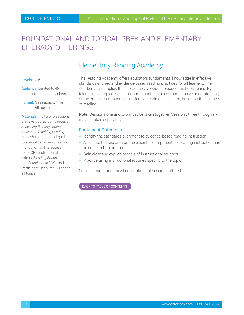# <span id="page-7-0"></span>FOUNDATIONAL AND TOPICAL PREK AND ELEMENTARY LITERACY OFFERINGS

## Elementary Reading Academy

#### Levels: K–6

Audience: Limited to 45 administrators and teachers

Format: 5 sessions with an optional 6th session

Materials: If all 5 or 6 sessions are taken, participants receive *Assessing Reading: Multiple Measures, Teaching Reading Sourcebook,* a practical guide to scientifically-based reading instruction; online access to 2 CORE instructional videos: *Blending Routines* and *Foundational Skills;* and a Participant Resource Guide for all topics.

The Reading Academy offers educators fundamental knowledge in effective standards-aligned and evidence-based reading practices for all learners. The Academy also applies these practices to evidence-based textbook series. By taking all five topical sessions, participants gain a comprehensive understanding of the critical components for effective reading instruction, based on the science of reading.

**Note:** Sessions one and two must be taken together. Sessions three through six may be taken separately.

#### Participant Outcomes

- **H** Identify the standards alignment to evidence-based reading instruction.
- h Articulate the research on the essential components of reading instruction and link research to practice.
- $\blacksquare$  Gain clear and explicit models of instructional routines.
- $\blacksquare$  Practice using instructional routines specific to the topic.

See next page for detailed descriptions of sessions offered.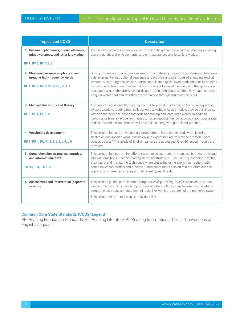| <b>Topics and CCSS</b>                                                                                       | <b>Description</b>                                                                                                                                                                                                                                                                                                                                                                                                                                                                                                                                                     |
|--------------------------------------------------------------------------------------------------------------|------------------------------------------------------------------------------------------------------------------------------------------------------------------------------------------------------------------------------------------------------------------------------------------------------------------------------------------------------------------------------------------------------------------------------------------------------------------------------------------------------------------------------------------------------------------------|
| 1. Research, phonemes, phonic elements,<br>print awareness, and letter knowledge                             | This session provides an overview of the scientific research on teaching reading, including<br>basic linguistics, phonic elements, and print awareness and letter knowledge.                                                                                                                                                                                                                                                                                                                                                                                           |
| RF 1, RF 2, RF 3, L 2                                                                                        |                                                                                                                                                                                                                                                                                                                                                                                                                                                                                                                                                                        |
| 2. Phonemic awareness, phonics, and<br>irregular high-frequency words<br>RF 1, RF 2, RF 3, RF 4, RL, RI, L 2 | During this session, participants examine how to develop phonemic awareness. They learn<br>a developmental instructional sequence and practice and see modeled engaging, explicit<br>lessons. Also during this session, participants learn explicit, systematic phonics instruction,<br>including effective corrective feedback and various forms of blending, and the application to<br>decodable text. In the afternoon, participants gain techniques to effectively teach students<br>irregular words that cannot efficiently be learned through sounding them out. |
| 3. Multisyllabic words and fluency<br>RF 3, RF 4, RL, L 2                                                    | This session addresses the techniques that help students transition from reading single-<br>syllable words to reading multisyllabic words. Multiple lesson models provide participants<br>with various evidence-based methods to break up and learn large words. In addition,<br>participants learn effective techniques to foster reading fluency: accuracy, appropriate rate,<br>and expression. Lesson models will be provided along with participant practice.                                                                                                     |
| 4. Vocabulary development<br>RF 3, RF 4, RL, RI, L 2, L 4, L 5, L 6                                          | This session focuses on vocabulary development. Participants study word-learning<br>strategies and specific word instruction, and experience active ways to promote "word<br>consciousness." The needs of English learners are addressed. Over 30 lesson models are<br>provided.                                                                                                                                                                                                                                                                                       |
| 5. Comprehension strategies, narrative,<br>and informational text<br>RL, RI, L 4, L 5, L 6                   | This session focuses on the different ways to assist students to access both narrative and<br>informational texts. Specific reading skills and strategies - including questioning, graphic<br>organizers, and monitoring techniques $-$ are presented using explicit instruction, with<br>hands-on lesson models and practice. Participants focus also on text structure and the<br>application of selected strategies to different types of texts.                                                                                                                    |
| 6. Assessment and intervention (separate<br>session)                                                         | This session guides participants through Assessing Reading: Multiple Measures and also<br>lays out the basic principles and purposes of different types of assessments and what a<br>comprehensive assessment blueprint looks like within the context of a three-tiered system.<br>This session may be taken as an individual day.                                                                                                                                                                                                                                     |

#### **Common Core State Standards (CCSS) Legend**

RF=Reading Foundation Standards; RL=Reading Literature; RI=Reading Informational Text; L=Conventions of English Language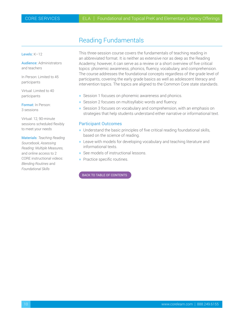## Reading Fundamentals

<span id="page-9-0"></span>Levels: K–12

Audience: Administrators and teachers

In Person: Limited to 45 participants

Virtual: Limited to 40 participants

Format: In Person: 3 sessions

Virtual: 12, 90-minute sessions scheduled flexibly to meet your needs

Materials: *Teaching Reading Sourcebook, Assessing Reading: Multiple Measures,* and online access to 2 CORE instructional videos: *Blending Routines* and *Foundational Skills*

This three-session course covers the fundamentals of teaching reading in an abbreviated format. It is neither as extensive nor as deep as the Reading Academy; however, it can serve as a review or a short overview of five critical topics: phonemic awareness, phonics, fluency, vocabulary, and comprehension. The course addresses the foundational concepts regardless of the grade level of participants, covering the early grade basics as well as adolescent literacy and intervention topics. The topics are aligned to the Common Core state standards.

- Session 1 focuses on phonemic awareness and phonics.
- **B** Session 2 focuses on multisyllabic words and fluency.
- Session 3 focuses on vocabulary and comprehension, with an emphasis on strategies that help students understand either narrative or informational text.

#### Participant Outcomes

- $\blacksquare$  Understand the basic principles of five critical reading foundational skills, based on the science of reading.
- **Example 20 Feave with models for developing vocabulary and teaching literature and** informational texts.
- See models of instructional lessons.
- $\blacksquare$  Practice specific routines.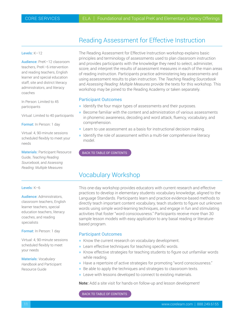### Reading Assessment for Effective Instruction

#### <span id="page-10-0"></span>Levels: K–12

Audience: PreK–12 classroom teachers, PreK–6 intervention and reading teachers, English learner and special education staff, site and district literacy administrators, and literacy coaches

In Person: Limited to 45 participants

Virtual: Limited to 40 participants

Format: In Person: 1 day

Virtual: 4, 90-minute sessions scheduled flexibly to meet your needs

**Materials: Participant Resource** Guide, *Teaching Reading Sourcebook,* and *Assessing Reading: Multiple Measures*

#### Levels: K–6

Audience: Administrators, classroom teachers, English learner teachers, special education teachers, literacy coaches, and reading specialists

Format: In Person: 1 day

Virtual: 4, 90-minute sessions scheduled flexibly to meet your needs

Materials: *Vocabulary Handbook* and Participant Resource Guide

The Reading Assessment for Effective Instruction workshop explains basic principles and terminology of assessments used to plan classroom instruction and provides participants with the knowledge they need to select, administer, score, and interpret the results of assessment measures in each of the main areas of reading instruction. Participants practice administering key assessments and using assessment results to plan instruction. The *Teaching Reading Sourcebook* and *Assessing Reading: Multiple Measures* provide the texts for this workshop. This workshop may be joined to the Reading Academy or taken separately.

#### Participant Outcomes

- $\blacksquare$  Identify the four major types of assessments and their purposes.
- $\blacksquare$  Become familiar with the content and administration of various assessments in phonemic awareness, decoding and word attack, fluency, vocabulary, and comprehension.
- $\blacksquare$  Learn to use assessment as a basis for instructional decision making.
- $\blacksquare$  Identify the role of assessment within a multi-tier comprehensive literacy model.

#### [BACK TO TABLE OF CONTENTS](#page-2-0)

### Vocabulary Workshop

This one-day workshop provides educators with current research and effective practices to develop in elementary students vocabulary knowledge, aligned to the Language Standards. Participants learn and practice evidence-based methods to directly teach important content vocabulary, teach students to figure out unknown words using simple word-learning techniques, and engage in fun and stimulating activities that foster "word consciousness." Participants receive more than 30 sample lesson models with easy application to any basal reading or literaturebased program.

#### Participant Outcomes

- Know the current research on vocabulary development.
- $\blacksquare$  Learn effective techniques for teaching specific words.
- **K** Know effective strategies for teaching students to figure out unfamiliar words while reading.
- Have a repertoire of active strategies for promoting "word consciousness."
- $\blacksquare$  Be able to apply the techniques and strategies to classroom texts.
- $\blacksquare$  Leave with lessons developed to connect to existing materials.

**Note:** Add a site visit for hands-on follow-up and lesson development!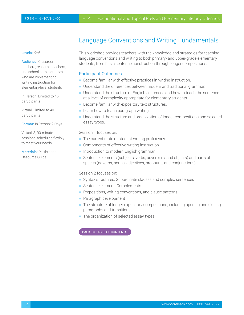### Language Conventions and Writing Fundamentals

#### <span id="page-11-0"></span>Levels: K–6

Audience: Classroom teachers, resource teachers, and school administrators who are implementing writing instruction for elementary-level students

In Person: Limited to 45 participants

Virtual: Limited to 40 participants

Format: In Person: 2 Days

Virtual: 8, 90-minute sessions scheduled flexibly to meet your needs

Materials: Participant Resource Guide

This workshop provides teachers with the knowledge and strategies for teaching language conventions and writing to both primary- and upper-grade elementary students, from basic sentence construction through longer compositions.

#### Participant Outcomes

- $\blacksquare$  Become familiar with effective practices in writing instruction.
- $\blacksquare$  Understand the differences between modern and traditional grammar.
- Understand the structure of English sentences and how to teach the sentence at a level of complexity appropriate for elementary students.
- $\blacksquare$  Become familiar with expository text structures.
- $\blacksquare$  Learn how to teach paragraph writing.
- **H** Understand the structure and organization of longer compositions and selected essay types.

Session 1 focuses on:

- $\blacksquare$  The current state of student writing proficiency
- $\blacksquare$  Components of effective writing instruction
- **h** Introduction to modern English grammar
- Sentence elements (subjects, verbs, adverbials, and objects) and parts of speech (adverbs, nouns, adjectives, pronouns, and conjunctions)

Session 2 focuses on:

- **F** Syntax structures: Subordinate clauses and complex sentences
- **BED Sentence element: Complements**
- $\blacksquare$  Prepositions, writing conventions, and clause patterns
- **Paragraph development**
- The structure of longer expository compositions, including opening and closing paragraphs and transitions
- $\blacksquare$  The organization of selected essay types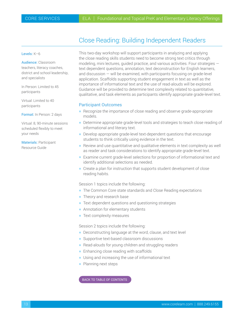### Close Reading: Building Independent Readers

#### <span id="page-12-0"></span>Levels: K–6

Audience: Classroom teachers, literacy coaches, district and school leadership, and specialists

In Person: Limited to 45 participants

Virtual: Limited to 40 participants

Format: In Person: 2 days

Virtual: 8, 90-minute sessions scheduled flexibly to meet your needs

Materials: Participant Resource Guide

This two-day workshop will support participants in analyzing and applying the close reading skills students need to become strong text critics through modeling, mini lectures, guided practice, and various activities. Four strategies text dependent questions, annotation, text deconstruction for English learners, and discussion — will be examined, with participants focusing on grade-level application. Scaffolds supporting student engagement in text as well as the importance of informational text and the use of read-alouds will be explored. Guidance will be provided to determine text complexity related to quantitative, qualitative, and task elements as participants identify appropriate grade-level text.

#### Participant Outcomes

- Recognize the importance of close reading and observe grade-appropriate models.
- Determine appropriate grade-level tools and strategies to teach close reading of informational and literary text.
- $\blacksquare$  Develop appropriate grade-level text-dependent questions that encourage students to think critically using evidence in the text.
- **Review and use quantitative and qualitative elements in text complexity as well** as reader and task considerations to identify appropriate grade-level text.
- **Examine current grade-level selections for proportion of informational text and** identify additional selections as needed.
- $\blacksquare$  Create a plan for instruction that supports student development of close reading habits.

Session 1 topics include the following:

- The Common Core state standards and Close Reading expectations
- Theory and research base
- $\blacksquare$  Text dependent questions and questioning strategies
- Annotation for elementary students
- $\blacksquare$  Text complexity measures

Session 2 topics include the following:

- $\blacksquare$  Deconstructing language at the word, clause, and text level
- $\blacksquare$  Supportive text-based classroom discussions
- $\blacksquare$  Read-alouds for young children and struggling readers
- $\blacksquare$  Enhancing close reading with scaffolds
- $\blacksquare$  Using and increasing the use of informational text
- $\blacksquare$  Planning next steps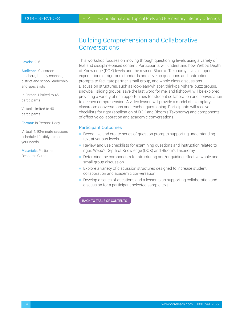### Building Comprehension and Collaborative **Conversations**

#### <span id="page-13-0"></span>Levels: K–6

Audience: Classroom teachers, literacy coaches, district and school leadership, and specialists

In Person: Limited to 45 participants

Virtual: Limited to 40 participants

Format: In Person: 1 day

Virtual: 4, 90-minute sessions scheduled flexibly to meet your needs

Materials: Participant Resource Guide

This workshop focuses on moving through questioning levels using a variety of text and discipline-based content. Participants will understand how Webb's Depth of Knowledge (DOK) levels and the revised Bloom's Taxonomy levels support expectations of rigorous standards and develop questions and instructional prompts to facilitate partner, small-group, and whole-class discussions. Discussion structures, such as look-lean-whisper, think-pair-share, buzz groups, snowball, sliding groups, save the last word for me, and fishbowl, will be explored, providing a variety of rich opportunities for student collaboration and conversation to deepen comprehension. A video lesson will provide a model of exemplary classroom conversations and teacher questioning. Participants will receive checklists for rigor (application of DOK and Bloom's Taxonomy) and components of effective collaboration and academic conversations.

#### Participant Outcomes

- $\blacksquare$  Recognize and create series of question prompts supporting understanding text at various levels.
- $\blacksquare$  Review and use checklists for examining questions and instruction related to rigor: Webb's Depth of Knowledge (DOK) and Bloom's Taxonomy.
- **Determine the components for structuring and/or guiding effective whole and** small-group discussion.
- $\blacksquare$  Explore a variety of discussion structures designed to increase student collaboration and academic conversation.
- **Develop a series of questions and a lesson plan supporting collaboration and** discussion for a participant selected sample text.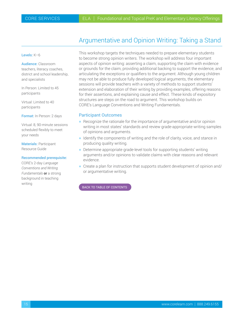## Argumentative and Opinion Writing: Taking a Stand

#### <span id="page-14-0"></span>Levels: K–6

Audience: Classroom teachers, literacy coaches, district and school leadership, and specialists

In Person: Limited to 45 participants

Virtual: Limited to 40 participants

Format: In Person: 2 days

Virtual: 8, 90-minute sessions scheduled flexibly to meet your needs

Materials: Participant Resource Guide

#### Recommended prerequisite:

CORE's 2-day *Language Conventions and Writing Fundamentals* **or** a strong background in teaching writing

This workshop targets the techniques needed to prepare elementary students to become strong opinion writers. The workshop will address four important aspects of opinion writing: asserting a claim, supporting the claim with evidence or grounds for the claim, providing additional backing to support the evidence, and articulating the exceptions or qualifiers to the argument. Although young children may not be able to produce fully developed logical arguments, the elementary sessions will provide teachers with a variety of methods to support students' extension and elaboration of their writing by providing examples, offering reasons for their assertions, and explaining cause and effect. These kinds of expository structures are steps on the road to argument. This workshop builds on CORE's Language Conventions and Writing Fundamentals.

#### Participant Outcomes

- $\blacksquare$  Recognize the rationale for the importance of argumentative and/or opinion writing in most states' standards and review grade-appropriate writing samples of opinions and arguments.
- $\blacksquare$  Identify the components of writing and the role of clarity, voice, and stance in producing quality writing.
- **Determine appropriate grade-level tools for supporting students' writing** arguments and/or opinions to validate claims with clear reasons and relevant evidence.
- $\blacksquare$  Create a plan for instruction that supports student development of opinion and/ or argumentative writing.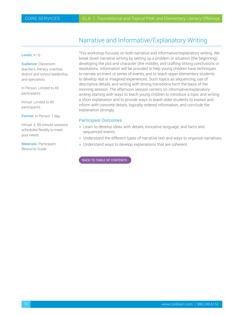## Narrative and Informative/Explanatory Writing

#### <span id="page-15-0"></span>Levels: K–6

Audience: Classroom teachers, literacy coaches, district and school leadership, and specialists

In Person: Limited to 45 participants

Virtual: Limited to 40 participants

Format: In Person: 1 day

Virtual: 4, 90-minute sessions scheduled flexibly to meet your needs

Materials: Participant Resource Guide

This workshop focuses on both narrative and informative/explanatory writing. We break down narrative writing by setting up a problem or situation (the beginning), developing the plot and character (the middle), and crafting strong conclusions or resolutions. Information will be provided to help young children have techniques to narrate an event or series of events, and to teach upper elementary students to develop real or imagined experiences. Such topics as sequencing, use of descriptive details, and writing with strong transitions form the basis of the morning session. The afternoon session centers on informative/explanatory writing starting with ways to teach young children to introduce a topic and writing a short explanation and to provide ways to teach older students to explain and inform with concrete details, logically ordered information, and conclude the explanation strongly.

#### Participant Outcomes

- **Example 20 Example 20 Example 20 Example 20 Example 20 Example 20 Example 20 Example 20 Example 20 Example 20 E** sequenced events.
- **Understand the different types of narrative text and ways to organize narratives.**
- $\blacksquare$  Understand ways to develop explanations that are coherent.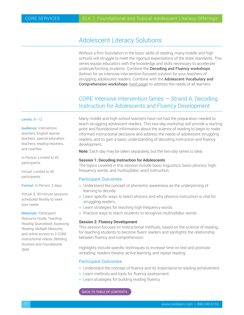## <span id="page-16-0"></span>Adolescent Literacy Solutions

Without a firm foundation in the basic skills of reading, many middle and high schools will struggle to meet the rigorous expectations of the state standards. This series equips educators with the knowledge and skills necessary to accelerate underperforming students. Combine the Decoding and Fluency workshops (below) for an intensive intervention-focused solution for your teachers of struggling adolescent readers. Combine with the **Adolescent Vocabulary and** Comprehension workshops [\(next page\)](#page-17-0) to address the needs of all learners.

### CORE Intensive Intervention Series — Strand A: Decoding Instruction for Adolescents and Fluency Development

#### Levels: 6–12

Audience: Intervention teachers, English learner teachers, special education teachers, reading teachers, and coaches

In Person: Limited to 45 participants

Virtual: Limited to 40 participants

Format: In Person: 2 days

Virtual: 8, 90-minute sessions scheduled flexibly to meet your needs

Materials: Participant Resource Guide, T*eaching Reading Sourcebook, Assessing Reading: Multiple Measures,* and online access to 2 CORE instructional videos: *Blending Routines* and *Foundational Skills*

Many middle and high school teachers have not had the preparation needed to teach struggling adolescent readers. This two-day workshop will provide a starting point and foundational information about the science of reading to begin to make informed instructional decisions and address the needs of adolescent struggling readers, and to gain a basic understanding of decoding instruction and fluency development.

**Note:** Each day may be taken separately, but the two-day series is ideal.

#### **Session 1: Decoding Instruction for Adolescents**

The topics covered in this session include basic linguistics, basic phonics, highfrequency words, and multisyllabic word instruction.

#### Participant Outcomes

- $\blacksquare$  Understand the concept of phonemic awareness as the underpinning of learning to decode.
- **EXECT** Learn specific ways to teach phonics and why phonics instruction is vital for struggling readers.
- $\blacksquare$  Learn strategies for teaching high-frequency words.
- $\blacksquare$  Practice ways to teach students to recognize multisyllabic words.

#### **Session 2: Fluency Development**

This session focuses on instructional methods, based on the science of reading, for teaching students to become fluent readers and spotlights the relationship between fluency and comprehension.

Highlights include specific techniques to increase time on text and promote rereading: readers theatre, active learning, and repeat reading.

#### Participant Outcomes

- **H** Understand the concept of fluency and its importance to reading achievement.
- **EXECT:** Learn methods and tools for fluency assessment.
- $\blacksquare$  Learn strategies for building reading fluency.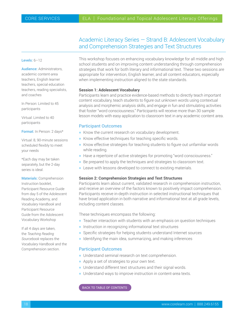### Academic Literacy Series — Strand B: Adolescent Vocabulary and Comprehension Strategies and Text Structures

#### <span id="page-17-0"></span>Levels: 6-12

Audience: Administrators, academic content-area teachers, English learner teachers, special education teachers, reading specialists, and coaches

In Person: Limited to 45 participants

Virtual: Limited to 40 participants

Format: In Person: 2 days\*

Virtual: 8, 90-minute sessions scheduled flexibly to meet your needs

\*Each day may be taken separately, but the 2-day series is ideal.

Materials: Comprehension Instruction booklet, Participant Resource Guide from day 5 of the Adolescent Reading Academy, and *Vocabulary Handbook* and Participant Resource Guide from the Adolescent Vocabulary Workshop

If all 4 days are taken, the *Teaching Reading Sourcebook* replaces the *Vocabulary Handbook* and the Comprehension section.

This workshop focuses on enhancing vocabulary knowledge for all middle and high school students and on improving content understanding through comprehension strategies that work for both literary and informational text. These two sessions are appropriate for intervention, English learner, and all content educators, especially when implementing instruction aligned to the state standards.

#### **Session 1: Adolescent Vocabulary**

Participants learn and practice evidence-based methods to directly teach important content vocabulary, teach students to figure out unknown words using contextual analysis and morphemic analysis skills, and engage in fun and stimulating activities that foster "word consciousness." Participants will receive more than 30 sample lesson models with easy application to classroom text in any academic content area.

#### Participant Outcomes

- $\blacksquare$  Know the current research on vocabulary development.
- $\blacksquare$  Know effective techniques for teaching specific words.
- **K** Know effective strategies for teaching students to figure out unfamiliar words while reading.
- Have a repertoire of active strategies for promoting "word consciousness."
- $\blacksquare$  Be prepared to apply the techniques and strategies to classroom text.
- $\blacksquare$  Leave with lessons developed to connect to existing materials.

#### **Session 2: Comprehension Strategies and Text Structures**

Participants learn about current, validated research in comprehension instruction, and receive an overview of the factors known to positively impact comprehension. Participants receive in-depth instruction in selected instructional techniques that have broad application in both narrative and informational text at all grade levels, including content classes.

These techniques encompass the following:

- $\blacksquare$  Teacher interaction with students with an emphasis on question techniques
- $\blacksquare$  Instruction in recognizing informational text structures
- **Specific strategies for helping students understand Internet sources**
- $\blacksquare$  Identifying the main idea, summarizing, and making inferences

#### Participant Outcomes

- $\blacksquare$  Understand seminal research on text comprehension.
- $\blacksquare$  Apply a set of strategies to your own text.
- $\blacksquare$  Understand different text structures and their signal words.
- **Understand ways to improve instruction in content-area texts.**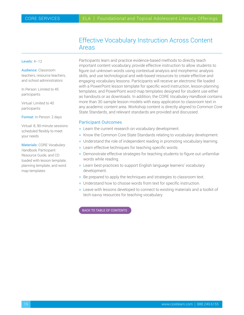### Effective Vocabulary Instruction Across Content Areas

#### <span id="page-18-0"></span>Levels:  $4-12$

Audience: Classroom teachers, resource teachers, and school administrators

In Person: Limited to 45 participants

Virtual: Limited to 40 participants

Format: In Person: 2 days

Virtual: 8, 90-minute sessions scheduled flexibly to meet your needs

Materials: CORE *Vocabulary Handbook,* Participant Resource Guide, and CD loaded with lesson template, planning template, and word map templates

Participants learn and practice evidence-based methods to directly teach important content vocabulary, provide effective instruction to allow students to figure out unknown words using contextual analysis and morphemic analysis skills, and use technological and web-based resources to create effective and engaging vocabulary lessons. Participants will receive an electronic file loaded with a PowerPoint lesson template for specific word instruction, lesson-planning templates, and PowerPoint word map templates designed for student use either as handouts or as downloads. In addition, the CORE *Vocabulary Handbook* contains more than 30 sample lesson models with easy application to classroom text in any academic content area. Workshop content is directly aligned to Common Core State Standards, and relevant standards are provided and discussed.

#### Participant Outcomes

- **EXECT** Learn the current research on vocabulary development.
- Know the Common Core State Standards relating to vocabulary development.
- Understand the role of independent reading in promoting vocabulary learning.
- $\blacksquare$  Learn effective techniques for teaching specific words.
- **Demonstrate effective strategies for teaching students to figure out unfamiliar** words while reading.
- Learn best-practices to support English language learners' vocabulary development.
- Be prepared to apply the techniques and strategies to classroom text.
- $\blacksquare$  Understand how to choose words from text for specific instruction.
- **Example 2** Leave with lessons developed to connect to existing materials and a toolkit of tech-savvy resources for teaching vocabulary.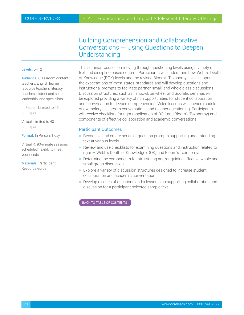### Building Comprehension and Collaborative Conversations — Using Questions to Deepen Understanding

#### <span id="page-19-0"></span>Levels: 6–12

Audience: Classroom content teachers, English learner resource teachers, literacy coaches, district and school leadership, and specialists

In Person: Limited to 45 participants

Virtual: Limited to 40 participants

Format: In Person: 1 day

Virtual: 4, 90-minute sessions scheduled flexibly to meet your needs

Materials: Participant Resource Guide

This seminar focuses on moving through questioning levels using a variety of text and discipline-based content. Participants will understand how Webb's Depth of Knowledge (DOK) levels and the revised Bloom's Taxonomy levels support the expectations of most states' standards and will develop questions and instructional prompts to facilitate partner, small, and whole class discussions. Discussion structures, such as fishbowl, pinwheel, and Socratic seminar, will be explored providing a variety of rich opportunities for student collaboration and conversation to deepen comprehension. Video lessons will provide models of exemplary classroom conversations and teacher questioning. Participants will receive checklists for rigor (application of DOK and Bloom's Taxonomy) and components of effective collaboration and academic conversations.

#### Participant Outcomes

- $\blacksquare$  Recognize and create series of question prompts supporting understanding text at various levels.
- $\blacksquare$  Review and use checklists for examining questions and instruction related to rigor — Webb's Depth of Knowledge (DOK) and Bloom's Taxonomy.
- $\blacksquare$  Determine the components for structuring and/or guiding effective whole and small group discussion.
- **Explore a variety of discussion structures designed to increase student** collaboration and academic conversation.
- **Develop a series of questions and a lesson plan supporting collaboration and** discussion for a participant selected sample text.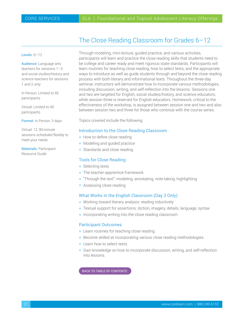## The Close Reading Classroom for Grades 6–12

#### <span id="page-20-0"></span>Levels: 6–12

Audience: Language arts teachers for sessions 1–3 and social studies/history and science teachers for sessions 1 and 2 only

In Person: Limited to 45 participants

Virtual: Limited to 40 participants

Format: In Person: 3 days

Virtual: 12, 90-minute sessions scheduled flexibly to meet your needs

Materials: Participant Resource Guide

Through modeling, mini-lecture, guided practice, and various activities, participants will learn and practice the close reading skills that students need to be college and career ready and meet rigorous state standards. Participants will learn routines for teaching close reading, how to select texts, and the appropriate ways to introduce as well as guide students through and beyond the close reading process with both literary and informational texts. Throughout the three-day seminar, instructors will demonstrate how to incorporate various methodologies, including discussion, writing, and self-reflection into the lessons. Sessions one and two are targeted for English, social studies/history, and science educators, while session three is reserved for English educators. Homework, critical to the effectiveness of the workshop, is assigned between session one and two and also between session two and three for those who continue with the course series.

Topics covered include the following:

#### Introduction to the Close Reading Classroom

- $\blacksquare$  How to define close reading
- $\blacksquare$  Modeling and guided practice
- $\blacksquare$  Standards and close reading

#### Tools for Close Reading

- $\blacksquare$  Selecting texts
- $\blacksquare$  The teacher-apprentice framework
- $\blacksquare$  "Through the text": modeling, annotating, note-taking, highlighting
- **Assessing close reading**

#### What Works in the English Classroom (Day 3 Only)

- $\blacksquare$  Working toward literary analysis: reading inductively
- **F** Textual support for assertions: diction, imagery, details, language, syntax
- $\blacksquare$  Incorporating writing into the close reading classroom

#### Participant Outcomes

- **Example 2** Learn routines for teaching close reading.
- **Become skilled at incorporating various close reading methodologies.**
- **H** Learn how to select texts.
- $\blacksquare$  Gain knowledge on how to incorporate discussion, writing, and self-reflection into lessons.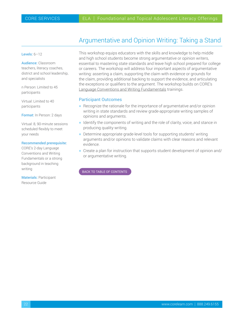## Argumentative and Opinion Writing: Taking a Stand

#### <span id="page-21-0"></span>Levels: 6–12

Audience: Classroom teachers, literacy coaches, district and school leadership, and specialists

n Person: Limited to 45 participants

Virtual: Limited to 40 participants

Format: In Person: 2 days

Virtual: 8, 90-minute sessions scheduled flexibly to meet your needs

#### Recommended prerequisite:

CORE's 2-day Language Conventions and Writing Fundamentals or a strong background in teaching writing

Materials: Participant Resource Guide

This workshop equips educators with the skills and knowledge to help middle and high school students become strong argumentative or opinion writers, essential to mastering state standards and leave high school prepared for college or careers. The workshop will address four important aspects of argumentative writing: asserting a claim, supporting the claim with evidence or grounds for the claim, providing additional backing to support the evidence, and articulating the exceptions or qualifiers to the argument. The workshop builds on CORE's [Language Conventions and Writing Fundamentals](#page-11-0) trainings.

#### Participant Outcomes

- $\blacksquare$  Recognize the rationale for the importance of argumentative and/or opinion writing in state standards and review grade-appropriate writing samples of opinions and arguments.
- $\blacksquare$  Identify the components of writing and the role of clarity, voice, and stance in producing quality writing.
- $\blacksquare$  Determine appropriate grade-level tools for supporting students' writing arguments and/or opinions to validate claims with clear reasons and relevant evidence.
- $\blacksquare$  Create a plan for instruction that supports student development of opinion and/ or argumentative writing.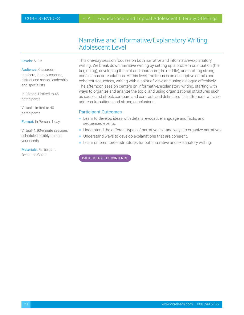### Narrative and Informative/Explanatory Writing, Adolescent Level

#### <span id="page-22-0"></span>Levels: 6–12

Audience: Classroom teachers, literacy coaches, district and school leadership, and specialists

In Person: Limited to 45 participants

Virtual: Limited to 40 participants

Format: In Person: 1 day

Virtual: 4, 90-minute sessions scheduled flexibly to meet your needs

Materials: Participant Resource Guide

This one-day session focuses on both narrative and informative/explanatory writing. We break down narrative writing by setting up a problem or situation (the beginning), developing the plot and character (the middle), and crafting strong conclusions or resolutions. At this level, the focus is on descriptive details and coherent sequences, writing with a point of view, and using dialogue effectively. The afternoon session centers on informative/explanatory writing, starting with ways to organize and analyze the topic, and using organizational structures such as cause and effect, compare and contrast, and definition. The afternoon will also address transitions and strong conclusions.

#### Participant Outcomes

- $\blacksquare$  Learn to develop ideas with details, evocative language and facts, and sequenced events.
- **H** Understand the different types of narrative text and ways to organize narratives.
- $\blacksquare$  Understand ways to develop explanations that are coherent.
- $\blacksquare$  Learn different order structures for both narrative and explanatory writing.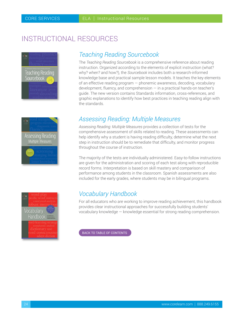# <span id="page-23-0"></span>INSTRUCTIONAL RESOURCES



## *Teaching Reading Sourcebook*

The *Teaching Reading Sourcebook* is a comprehensive reference about reading instruction. Organized according to the elements of explicit instruction (what? why? when? and how?), the *Sourcebook* includes both a research-informed knowledge base and practical sample lesson models. It teaches the key elements of an effective reading program — phonemic awareness, decoding, vocabulary development, fluency, and comprehension — in a practical hands-on teacher's guide. The new version contains Standards information, cross-references, and graphic explanations to identify how best practices in teaching reading align with the standards.





## *Assessing Reading: Multiple Measures*

*Assessing Reading: Multiple Measures* provides a collection of tests for the comprehensive assessment of skills related to reading. These assessments can help identify why a student is having reading difficulty, determine what the next step in instruction should be to remediate that difficulty, and monitor progress throughout the course of instruction.

The majority of the tests are individually administered. Easy-to-follow instructions are given for the administration and scoring of each test along with reproducible record forms. Interpretation is based on skill mastery and comparison of performance among students in the classroom. Spanish assessments are also included for the early grades, where students may be in bilingual programs.

## *Vocabulary Handbook*

For all educators who are working to improve reading achievement, this handbook provides clear instructional approaches for successfully building students' vocabulary knowledge — knowledge essential for strong reading comprehension.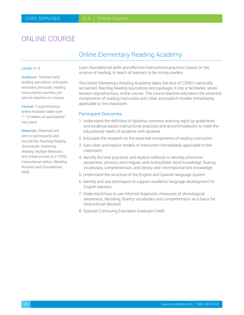# <span id="page-24-0"></span>ONLINE COURSE

### Online Elementary Reading Academy

#### Levels: K–6

Audience: Teachers and reading specialists, principals, assistant principals, reading instructional coaches, preservice teachers or classes

Format: 7 asynchronous online modules taken over 7–10 weeks at participants' own pace

Materials: Materials are sent to participants and include the *Teaching Reading Sourcebook, Assessing Reading: Multiple Measures,*  and online access to 2 CORE instructional videos: *Blending Routines* and *Foundational Skills*

Learn foundational skills and effective instructional practices, based on the science of reading, to teach all learners to be strong readers.

The Online Elementary Reading Academy takes the best of CORE's nationally acclaimed *Teaching Reading Sourcebook* and packages it into a facilitated, seven session asynchronous, online course. The course teaches educators the essential components of reading instruction with clear and explicit models immediately applicable to the classroom.

#### Participant Outcomes

- 1. Understand the definition of dyslexia, common warning signs by grade level, and evidence-based instructional practices and accommodations to meet the educational needs of students with dyslexia.
- 2. Articulate the research on the essential components of reading instruction
- 3. Gain clear and explicit models of instruction immediately applicable to the classroom
- 4. Identify the best practices and explicit methods to develop phonemic awareness, phonics and irregular and multisyllabic word knowledge, fluency, vocabulary, comprehension, and literary and informational text knowledge
- 5. Understand the structure of the English and Spanish language system
- 6. Identify and use techniques to support academic language development for English learners
- 7. Understand how to use informal diagnostic measures of phonological awareness, decoding, fluency vocabulary and comprehension as a basis for instructional decision
- 8. Optional Continuing Education Graduate Credit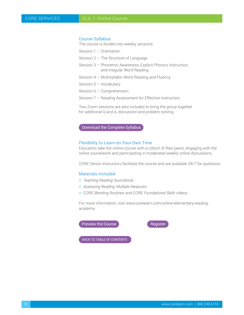#### Course Syllabus

The course is divided into weekly sessions:

Session 1 – Orientation

- Session 2 The Structure of Language
- Session 3 Phonemic Awareness, Explicit Phonics Instruction and Irregular Word Reading
- Session 4 Multisyllabic Word Reading and Fluency
- Session 5 Vocabulary
- Session 6 Comprehension
- Session 7 Reading Assessment for Effective Instruction

Two Zoom sessions are also included to bring the group together for additional Q and A, discussion and problem solving.

#### [Download the Complete Syllabus](https://www.corelearn.com/wp-content/uploads/2021/05/oera-syllabus-202105.pdf)

#### Flexibility to Learn on Your Own Time

Educators take the online course with a cohort of their peers, engaging with the online coursework and participating in moderated weekly online discussions.

CORE Senior Instructors facilitate the course and are available 24/7 for questions.

#### Materials Included

- h *Teaching Reading Sourcebook*
- **h** *Assessing Reading: Multiple Measures*
- h CORE *Blending Routines* and CORE *Foundational Skills* videos

For more information, visit www.corelearn.com/online-elementary-readingacademy.

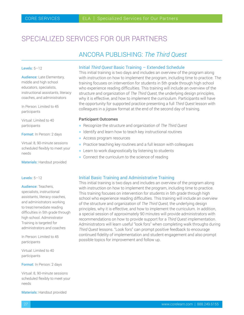# <span id="page-26-0"></span>SPECIALIZED SERVICES FOR OUR PARTNERS

### ANCORA PUBLISHING: *The Third Quest*

#### Levels: 5–12

Audience: Late Elementary, middle and high school educators, specialists, instructional assistants, literacy coaches, and administrators

In Person: Limited to 45 participants

Virtual: Limited to 40 participants

Format: In Person: 2 days

Virtual: 8, 90-minute sessions scheduled flexibly to meet your needs

Materials: Handout provided

#### Levels: 5–12

#### Audience: Teachers,

specialists, instructional assistants, literacy coaches, and administrators working to treat/remediate reading difficulties in 5th grade through high school. Administrator Training is targeted for administrators and coaches

In Person: Limited to 45 participants

Virtual: Limited to 40 participants

Format: In Person: 2 days

Virtual: 8, 90-minute sessions scheduled flexibly to meet your needs

Materials: Handout provided

#### Initial *Third Quest* Basic Training – Extended Schedule

This initial training is two days and includes an overview of the program along with instruction on how to implement the program, including time to practice. The training focuses on intervention for students in 5th grade through high school who experience reading difficulties. This training will include an overview of the structure and organization of *The Third Quest,* the underlying design principles, why it is effective, and how to implement the curriculum. Participants will have the opportunity for supported practice presenting a full *Third Quest* lesson with colleagues in a jigsaw format at the end of the second day of training.

#### Participant Outcomes

- h Recognize the structure and organization of *The Third Quest*
- $\blacksquare$  Identify and learn how to teach key instructional routines
- **Access program resources**
- $\blacksquare$  Practice teaching key routines and a full lesson with colleagues
- $\blacksquare$  Learn to work diagnostically by listening to students
- $\blacksquare$  Connect the curriculum to the science of reading

#### Initial Basic Training and Administrative Training

This initial training is two days and includes an overview of the program along with instruction on how to implement the program, including time to practice. This training focuses on intervention for students in 5th grade through high school who experience reading difficulties. This training will include an overview of the structure and organization of *The Third Quest,* the underlying design principles, why it is effective, and how to implement the curriculum. In addition, a special session of approximately 90 minutes will provide administrators with recommendations on how to provide support for a *Third Quest* implementation. Administrators will learn useful "look fors" when completing walk throughs during *Third Quest* lessons. "Look fors" can prompt positive feedback to encourage continued fidelity of implementation and student engagement and also prompt possible topics for improvement and follow up.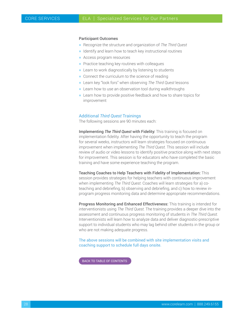#### Participant Outcomes

- h Recognize the structure and organization of *The Third Quest*
- $\blacksquare$  Identify and learn how to teach key instructional routines
- **-** Access program resources
- $\blacksquare$  Practice teaching key routines with colleagues
- $\blacksquare$  Learn to work diagnostically by listening to students
- $\blacksquare$  Connect the curriculum to the science of reading
- h Learn key "look fors" when observing *The Third Quest* lessons
- $\blacksquare$  Learn how to use an observation tool during walkthroughs
- $\blacksquare$  Learn how to provide positive feedback and how to share topics for improvement

#### Additional *Third Quest* Trainings

The following sessions are 90 minutes each:

Implementing *The Third Quest* with Fidelity: This training is focused on implementation fidelity. After having the opportunity to teach the program for several weeks, instructors will learn strategies focused on continuous improvement when implementing *The Third Quest.* This session will include review of audio or video lessons to identify positive practice along with next steps for improvement. This session is for educators who have completed the basic training and have some experience teaching the program.

Teaching Coaches to Help Teachers with Fidelity of Implementation: This session provides strategies for helping teachers with continuous improvement when implementing *The Third Quest.* Coaches will learn strategies for a) coteaching and debriefing, b) observing and debriefing, and c) how to review inprogram progress monitoring data and determine appropriate recommendations.

Progress Monitoring and Enhanced Effectiveness: This training is intended for interventionists using *The Third Quest.* The training provides a deeper dive into the assessment and continuous progress monitoring of students in *The Third Quest.* Interventionists will learn how to analyze data and deliver diagnostic-prescriptive support to individual students who may lag behind other students in the group or who are not making adequate progress.

The above sessions will be combined with site implementation visits and coaching support to schedule full days onsite.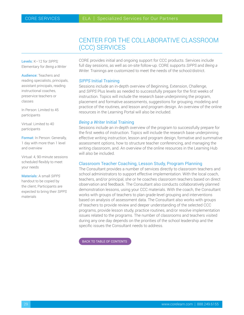## CENTER FOR THE COLLABORATIVE CLASSROOM (CCC) SERVICES

<span id="page-28-0"></span>Levels: K–12 for *SIPPS;* Elementary for *Being a Writer*

Audience: Teachers and reading specialists, principals, assistant principals, reading instructional coaches, preservice teachers or classes

In Person: Limited to 45 participants

Virtual: Limited to 40 participants

Format: In Person: Generally, 1 day with more than 1 level and overview

Virtual: 4, 90-minute sessions scheduled flexibly to meet your needs

Materials: A small *SIPPS* handout to be copied by the client; Participants are expected to bring their *SIPPS* materials

CORE provides initial and ongoing support for CCC products. Services include full day sessions, as well as on-site follow-up. CORE supports *SIPPS* and *Being a Writer.* Trainings are customized to meet the needs of the school/district.

#### *SIPPS* Initial Training

Sessions include an in-depth overview of Beginning, Extension, Challenge, and *SIPPS* Plus levels as needed to successfully prepare for the first weeks of instruction. Topics will include the research base underpinning the program, placement and formative assessments, suggestions for grouping, modeling and practice of the routines, and lesson and program design. An overview of the online resources in the Learning Portal will also be included.

#### *Being a Writer* Initial Training

Sessions include an in-depth overview of the program to successfully prepare for the first weeks of instruction. Topics will include the research base underpinning effective writing instruction, lesson and program design, formative and summative assessment options, how to structure teacher conferencing, and managing the writing classroom, and. An overview of the online resources in the Learning Hub will also be included.

#### Classroom Teacher Coaching, Lesson Study, Program Planning

The Consultant provides a number of services directly to classroom teachers and school administrators to support effective implementation. With the local coach, teachers, and/or principal, she or he coaches classroom teachers based on direct observation and feedback. The Consultant also conducts collaboratively planned demonstration lessons, using your CCC materials. With the coach, the Consultant works with groups of teachers to plan grade-level grouping and interventions based on analysis of assessment data. The Consultant also works with groups of teachers to provide review and deeper understanding of the selected CCC programs, provide lesson study, practice routines, and/or resolve implementation issues related to the programs. The number of classrooms and teachers visited during any one day depends on the priorities of the school leadership and the specific issues the Consultant needs to address.